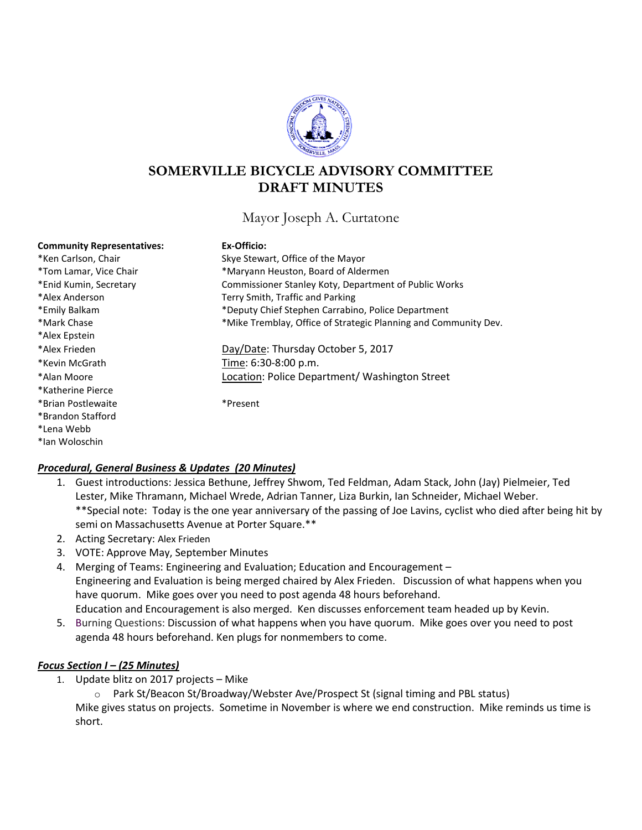

# **SOMERVILLE BICYCLE ADVISORY COMMITTEE DRAFT MINUTES**

Mayor Joseph A. Curtatone

#### **Community Representatives: Ex-Officio:**

| *Ken Carlson, Chair    |
|------------------------|
| *Tom Lamar, Vice Chair |
| *Enid Kumin, Secretary |
| *Alex Anderson         |
| *Emily Balkam          |
| *Mark Chase            |
| *Alex Epstein          |
| *Alex Frieden          |
| *Kevin McGrath         |
| *Alan Moore            |
| *Katherine Pierce      |
| *Brian Postlewaite     |
| *Brandon Stafford      |
| *Lena Webb             |
| *lan Woloschin         |

Skye Stewart, Office of the Mayor \*Maryann Heuston, Board of Aldermen Commissioner Stanley Koty, Department of Public Works Terry Smith, Traffic and Parking \*Deputy Chief Stephen Carrabino, Police Department \*Mike Tremblay, Office of Strategic Planning and Community Dev. Day/Date: Thursday October 5, 2017 Time: 6:30-8:00 p.m. Location: Police Department/ Washington Street

\*Present

### *Procedural, General Business & Updates (20 Minutes)*

- 1. Guest introductions: Jessica Bethune, Jeffrey Shwom, Ted Feldman, Adam Stack, John (Jay) Pielmeier, Ted Lester, Mike Thramann, Michael Wrede, Adrian Tanner, Liza Burkin, Ian Schneider, Michael Weber. \*\*Special note: Today is the one year anniversary of the passing of Joe Lavins, cyclist who died after being hit by semi on Massachusetts Avenue at Porter Square.\*\*
- 2. Acting Secretary: Alex Frieden
- 3. VOTE: Approve May, September Minutes
- 4. Merging of Teams: Engineering and Evaluation; Education and Encouragement Engineering and Evaluation is being merged chaired by Alex Frieden. Discussion of what happens when you have quorum. Mike goes over you need to post agenda 48 hours beforehand. Education and Encouragement is also merged. Ken discusses enforcement team headed up by Kevin.
- 5. Burning Questions: Discussion of what happens when you have quorum. Mike goes over you need to post agenda 48 hours beforehand. Ken plugs for nonmembers to come.

# *Focus Section I – (25 Minutes)*

- 1. Update blitz on 2017 projects Mike
	- o Park St/Beacon St/Broadway/Webster Ave/Prospect St (signal timing and PBL status) Mike gives status on projects. Sometime in November is where we end construction. Mike reminds us time is short.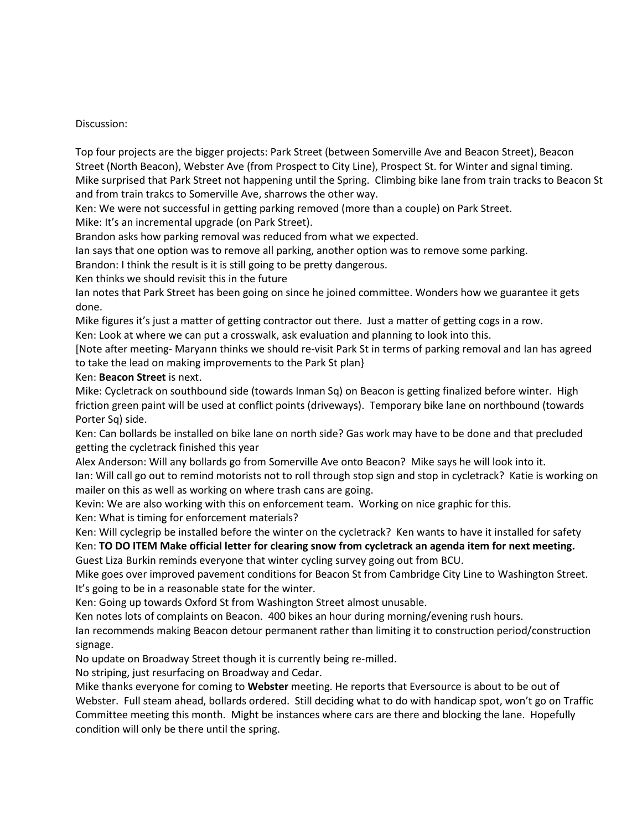# Discussion:

Top four projects are the bigger projects: Park Street (between Somerville Ave and Beacon Street), Beacon Street (North Beacon), Webster Ave (from Prospect to City Line), Prospect St. for Winter and signal timing. Mike surprised that Park Street not happening until the Spring. Climbing bike lane from train tracks to Beacon St and from train trakcs to Somerville Ave, sharrows the other way.

Ken: We were not successful in getting parking removed (more than a couple) on Park Street.

Mike: It's an incremental upgrade (on Park Street).

Brandon asks how parking removal was reduced from what we expected.

Ian says that one option was to remove all parking, another option was to remove some parking.

Brandon: I think the result is it is still going to be pretty dangerous.

Ken thinks we should revisit this in the future

Ian notes that Park Street has been going on since he joined committee. Wonders how we guarantee it gets done.

Mike figures it's just a matter of getting contractor out there. Just a matter of getting cogs in a row.

Ken: Look at where we can put a crosswalk, ask evaluation and planning to look into this.

[Note after meeting- Maryann thinks we should re-visit Park St in terms of parking removal and Ian has agreed to take the lead on making improvements to the Park St plan}

# Ken: **Beacon Street** is next.

Mike: Cycletrack on southbound side (towards Inman Sq) on Beacon is getting finalized before winter. High friction green paint will be used at conflict points (driveways). Temporary bike lane on northbound (towards Porter Sq) side.

Ken: Can bollards be installed on bike lane on north side? Gas work may have to be done and that precluded getting the cycletrack finished this year

Alex Anderson: Will any bollards go from Somerville Ave onto Beacon? Mike says he will look into it.

Ian: Will call go out to remind motorists not to roll through stop sign and stop in cycletrack? Katie is working on mailer on this as well as working on where trash cans are going.

Kevin: We are also working with this on enforcement team. Working on nice graphic for this.

Ken: What is timing for enforcement materials?

Ken: Will cyclegrip be installed before the winter on the cycletrack? Ken wants to have it installed for safety Ken: **TO DO ITEM Make official letter for clearing snow from cycletrack an agenda item for next meeting.** Guest Liza Burkin reminds everyone that winter cycling survey going out from BCU.

Mike goes over improved pavement conditions for Beacon St from Cambridge City Line to Washington Street. It's going to be in a reasonable state for the winter.

Ken: Going up towards Oxford St from Washington Street almost unusable.

Ken notes lots of complaints on Beacon. 400 bikes an hour during morning/evening rush hours.

Ian recommends making Beacon detour permanent rather than limiting it to construction period/construction signage.

No update on Broadway Street though it is currently being re-milled.

No striping, just resurfacing on Broadway and Cedar.

Mike thanks everyone for coming to **Webster** meeting. He reports that Eversource is about to be out of Webster. Full steam ahead, bollards ordered. Still deciding what to do with handicap spot, won't go on Traffic Committee meeting this month. Might be instances where cars are there and blocking the lane. Hopefully condition will only be there until the spring.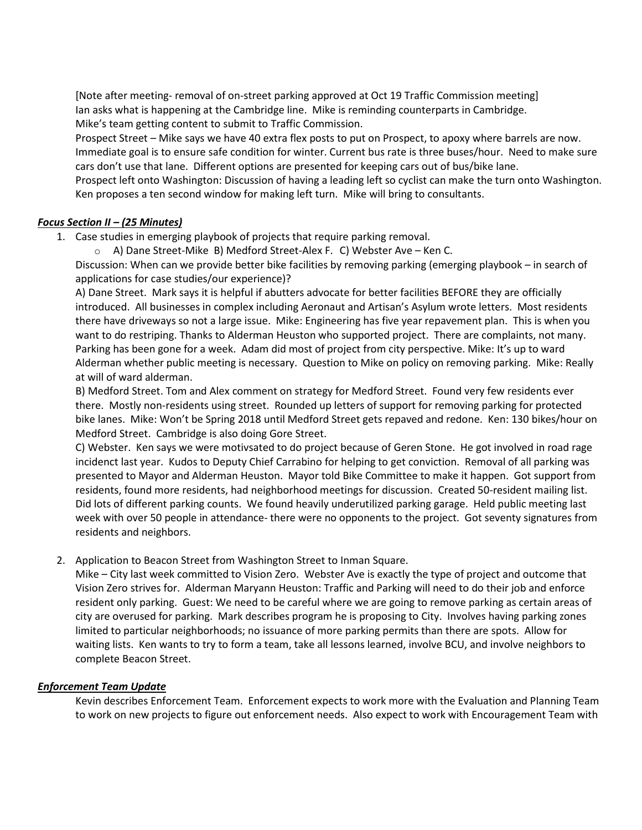[Note after meeting- removal of on-street parking approved at Oct 19 Traffic Commission meeting] Ian asks what is happening at the Cambridge line. Mike is reminding counterparts in Cambridge. Mike's team getting content to submit to Traffic Commission.

Prospect Street – Mike says we have 40 extra flex posts to put on Prospect, to apoxy where barrels are now. Immediate goal is to ensure safe condition for winter. Current bus rate is three buses/hour. Need to make sure cars don't use that lane. Different options are presented for keeping cars out of bus/bike lane.

Prospect left onto Washington: Discussion of having a leading left so cyclist can make the turn onto Washington. Ken proposes a ten second window for making left turn. Mike will bring to consultants.

# *Focus Section II – (25 Minutes)*

- 1. Case studies in emerging playbook of projects that require parking removal.
	- o A) Dane Street-Mike B) Medford Street-Alex F. C) Webster Ave Ken C.

Discussion: When can we provide better bike facilities by removing parking (emerging playbook – in search of applications for case studies/our experience)?

A) Dane Street. Mark says it is helpful if abutters advocate for better facilities BEFORE they are officially introduced. All businesses in complex including Aeronaut and Artisan's Asylum wrote letters. Most residents there have driveways so not a large issue. Mike: Engineering has five year repavement plan. This is when you want to do restriping. Thanks to Alderman Heuston who supported project. There are complaints, not many. Parking has been gone for a week. Adam did most of project from city perspective. Mike: It's up to ward Alderman whether public meeting is necessary. Question to Mike on policy on removing parking. Mike: Really at will of ward alderman.

B) Medford Street. Tom and Alex comment on strategy for Medford Street. Found very few residents ever there. Mostly non-residents using street. Rounded up letters of support for removing parking for protected bike lanes. Mike: Won't be Spring 2018 until Medford Street gets repaved and redone. Ken: 130 bikes/hour on Medford Street. Cambridge is also doing Gore Street.

C) Webster. Ken says we were motivsated to do project because of Geren Stone. He got involved in road rage incidenct last year. Kudos to Deputy Chief Carrabino for helping to get conviction. Removal of all parking was presented to Mayor and Alderman Heuston. Mayor told Bike Committee to make it happen. Got support from residents, found more residents, had neighborhood meetings for discussion. Created 50-resident mailing list. Did lots of different parking counts. We found heavily underutilized parking garage. Held public meeting last week with over 50 people in attendance- there were no opponents to the project. Got seventy signatures from residents and neighbors.

2. Application to Beacon Street from Washington Street to Inman Square.

Mike – City last week committed to Vision Zero. Webster Ave is exactly the type of project and outcome that Vision Zero strives for. Alderman Maryann Heuston: Traffic and Parking will need to do their job and enforce resident only parking. Guest: We need to be careful where we are going to remove parking as certain areas of city are overused for parking. Mark describes program he is proposing to City. Involves having parking zones limited to particular neighborhoods; no issuance of more parking permits than there are spots. Allow for waiting lists. Ken wants to try to form a team, take all lessons learned, involve BCU, and involve neighbors to complete Beacon Street.

### *Enforcement Team Update*

Kevin describes Enforcement Team. Enforcement expects to work more with the Evaluation and Planning Team to work on new projects to figure out enforcement needs. Also expect to work with Encouragement Team with